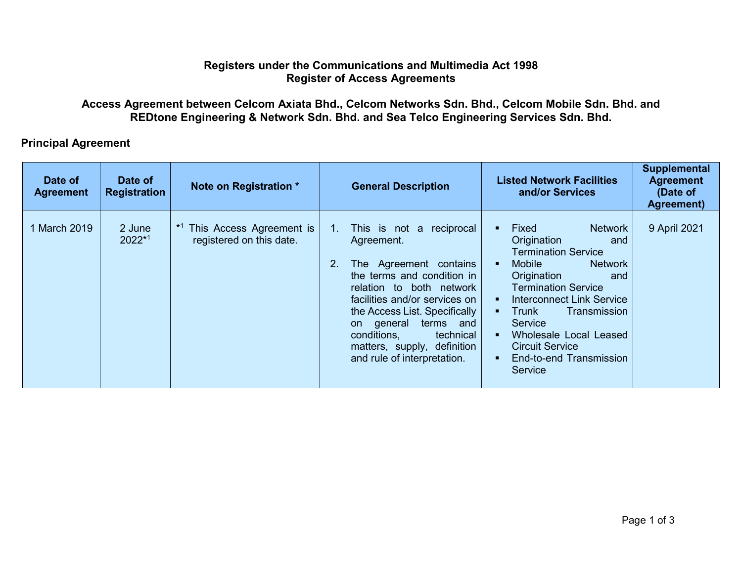## **Registers under the Communications and Multimedia Act 1998 Register of Access Agreements**

## **Access Agreement between Celcom Axiata Bhd., Celcom Networks Sdn. Bhd., Celcom Mobile Sdn. Bhd. and REDtone Engineering & Network Sdn. Bhd. and Sea Telco Engineering Services Sdn. Bhd.**

## **Principal Agreement**

| Date of<br><b>Agreement</b> | Date of<br><b>Registration</b> | Note on Registration *                               |               | <b>General Description</b>                                                                                                                                                                                                                                                                                                | Supplemental<br><b>Listed Network Facilities</b><br><b>Agreement</b><br>and/or Services<br>(Date of<br>Agreement)                                                                                                                                                                                                                                           |
|-----------------------------|--------------------------------|------------------------------------------------------|---------------|---------------------------------------------------------------------------------------------------------------------------------------------------------------------------------------------------------------------------------------------------------------------------------------------------------------------------|-------------------------------------------------------------------------------------------------------------------------------------------------------------------------------------------------------------------------------------------------------------------------------------------------------------------------------------------------------------|
| March 2019                  | 2 June<br>$2022^{*1}$          | This Access Agreement is<br>registered on this date. | $1_{-}$<br>2. | This is not a<br>reciprocal<br>Agreement.<br>The Agreement contains<br>the terms and condition in<br>relation to both network<br>facilities and/or services on<br>the Access List. Specifically<br>terms and<br>general<br>on a<br>conditions,<br>technical<br>matters, supply, definition<br>and rule of interpretation. | 9 April 2021<br>Fixed<br><b>Network</b><br>Origination<br>and<br><b>Termination Service</b><br>Mobile<br><b>Network</b><br>Origination<br>and<br><b>Termination Service</b><br><b>Interconnect Link Service</b><br>Trunk<br>Transmission<br><b>Service</b><br>Wholesale Local Leased<br><b>Circuit Service</b><br>End-to-end Transmission<br><b>Service</b> |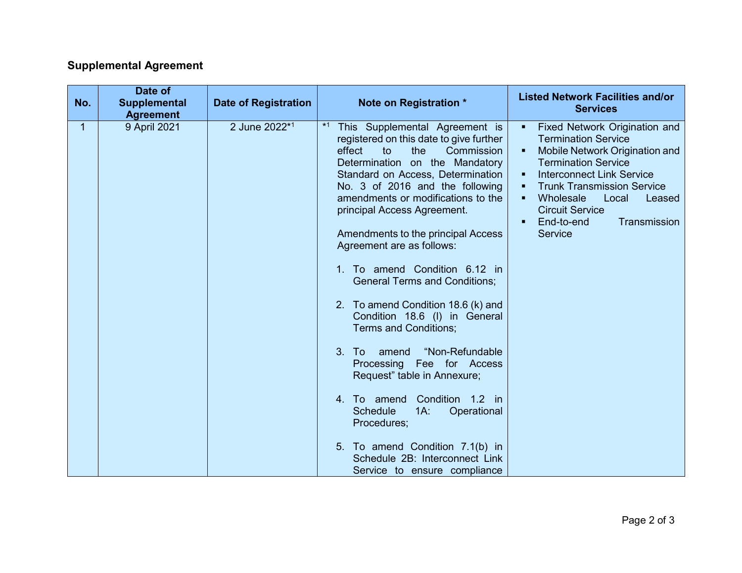## **Supplemental Agreement**

| No. | Date of<br><b>Supplemental</b>   | <b>Date of Registration</b> | Note on Registration *                                                                                                                                                                                                                                                                                                                                                                                                                          | <b>Listed Network Facilities and/or</b>                                                                                                                                                                                                                                                                                                                |
|-----|----------------------------------|-----------------------------|-------------------------------------------------------------------------------------------------------------------------------------------------------------------------------------------------------------------------------------------------------------------------------------------------------------------------------------------------------------------------------------------------------------------------------------------------|--------------------------------------------------------------------------------------------------------------------------------------------------------------------------------------------------------------------------------------------------------------------------------------------------------------------------------------------------------|
| 1   | <b>Agreement</b><br>9 April 2021 | 2 June 2022 <sup>*1</sup>   | $*1$<br>This Supplemental Agreement is<br>registered on this date to give further<br>effect<br>Commission<br>to<br>the<br>Determination on the Mandatory<br>Standard on Access, Determination<br>No. 3 of 2016 and the following<br>amendments or modifications to the<br>principal Access Agreement.<br>Amendments to the principal Access<br>Agreement are as follows:<br>To amend Condition 6.12 in                                          | <b>Services</b><br>Fixed Network Origination and<br>٠<br><b>Termination Service</b><br>Mobile Network Origination and<br>٠<br><b>Termination Service</b><br><b>Interconnect Link Service</b><br><b>Trunk Transmission Service</b><br>Wholesale<br>Local<br>Leased<br>$\blacksquare$<br><b>Circuit Service</b><br>End-to-end<br>Transmission<br>Service |
|     |                                  |                             | <b>General Terms and Conditions;</b><br>2. To amend Condition 18.6 (k) and<br>Condition 18.6 (I) in General<br><b>Terms and Conditions;</b><br>"Non-Refundable<br>3. To<br>amend<br>Processing Fee for Access<br>Request" table in Annexure;<br>Condition 1.2 in<br>4. To amend<br><b>Schedule</b><br>$1A$ :<br>Operational<br>Procedures;<br>5. To amend Condition 7.1(b) in<br>Schedule 2B: Interconnect Link<br>Service to ensure compliance |                                                                                                                                                                                                                                                                                                                                                        |